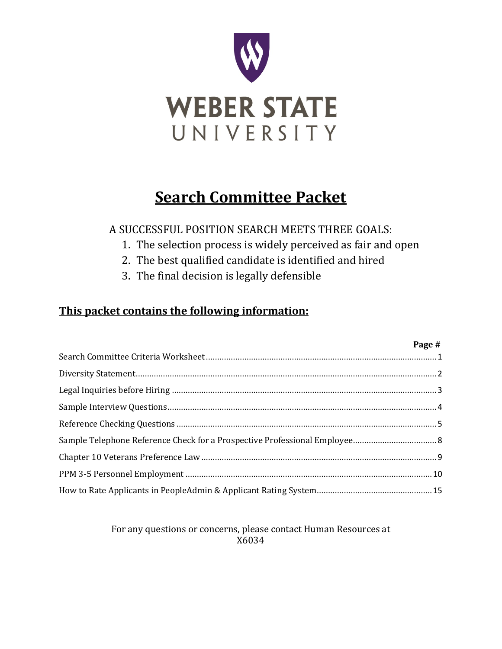

### **Search Committee Packet**

A SUCCESSFUL POSITION SEARCH MEETS THREE GOALS:

- 1. The selection process is widely perceived as fair and open
- 2. The best qualified candidate is identified and hired
- 3. The final decision is legally defensible

### **This packet contains the following information:**

| Page # |
|--------|
|        |
|        |
|        |
|        |
|        |
|        |
|        |
|        |
|        |

For any questions or concerns, please contact Human Resources at X6034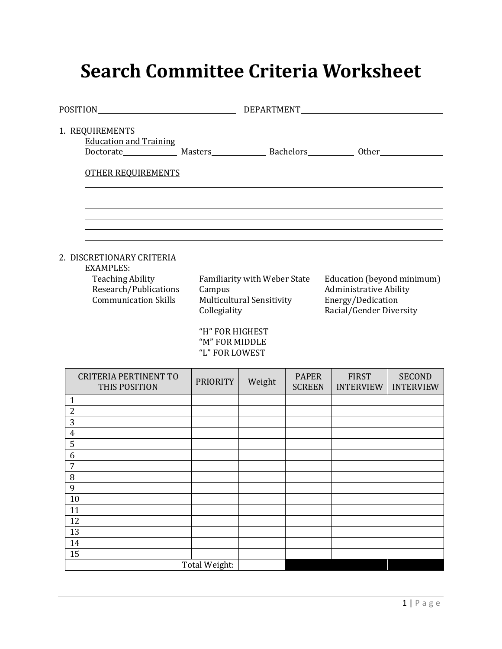## <span id="page-1-0"></span>**Search Committee Criteria Worksheet**

| 1. REQUIREMENTS<br><b>Education and Training</b>                                                                                 |                                                             |                                                                  |               |                                                                                                      |                  |
|----------------------------------------------------------------------------------------------------------------------------------|-------------------------------------------------------------|------------------------------------------------------------------|---------------|------------------------------------------------------------------------------------------------------|------------------|
| <b>OTHER REQUIREMENTS</b>                                                                                                        |                                                             |                                                                  |               |                                                                                                      |                  |
|                                                                                                                                  |                                                             |                                                                  |               |                                                                                                      |                  |
|                                                                                                                                  |                                                             |                                                                  |               |                                                                                                      |                  |
| 2. DISCRETIONARY CRITERIA<br><b>EXAMPLES:</b><br><b>Teaching Ability</b><br>Research/Publications<br><b>Communication Skills</b> | Campus<br>Collegiality<br>"H" FOR HIGHEST<br>"M" FOR MIDDLE | Familiarity with Weber State<br><b>Multicultural Sensitivity</b> |               | Education (beyond minimum)<br>Administrative Ability<br>Energy/Dedication<br>Racial/Gender Diversity |                  |
| <b>CRITERIA PERTINENT TO</b>                                                                                                     | "L" FOR LOWEST<br>PRIORITY                                  | Weight                                                           | <b>PAPER</b>  | <b>FIRST</b>                                                                                         | <b>SECOND</b>    |
| THIS POSITION                                                                                                                    |                                                             |                                                                  | <b>SCREEN</b> | <b>INTERVIEW</b>                                                                                     | <b>INTERVIEW</b> |
| $\mathbf{1}$<br>$\overline{2}$                                                                                                   |                                                             |                                                                  |               |                                                                                                      |                  |
| 3                                                                                                                                |                                                             |                                                                  |               |                                                                                                      |                  |
| $\overline{4}$                                                                                                                   |                                                             |                                                                  |               |                                                                                                      |                  |
| $\overline{5}$                                                                                                                   |                                                             |                                                                  |               |                                                                                                      |                  |
| 6<br>$\overline{7}$                                                                                                              |                                                             |                                                                  |               |                                                                                                      |                  |
| 8                                                                                                                                |                                                             |                                                                  |               |                                                                                                      |                  |
| $\overline{9}$                                                                                                                   |                                                             |                                                                  |               |                                                                                                      |                  |
| $\overline{10}$                                                                                                                  |                                                             |                                                                  |               |                                                                                                      |                  |
| 11                                                                                                                               |                                                             |                                                                  |               |                                                                                                      |                  |
| 12                                                                                                                               |                                                             |                                                                  |               |                                                                                                      |                  |
| 13<br>$\overline{14}$                                                                                                            |                                                             |                                                                  |               |                                                                                                      |                  |
| 15                                                                                                                               |                                                             |                                                                  |               |                                                                                                      |                  |
|                                                                                                                                  | Total Weight:                                               |                                                                  |               |                                                                                                      |                  |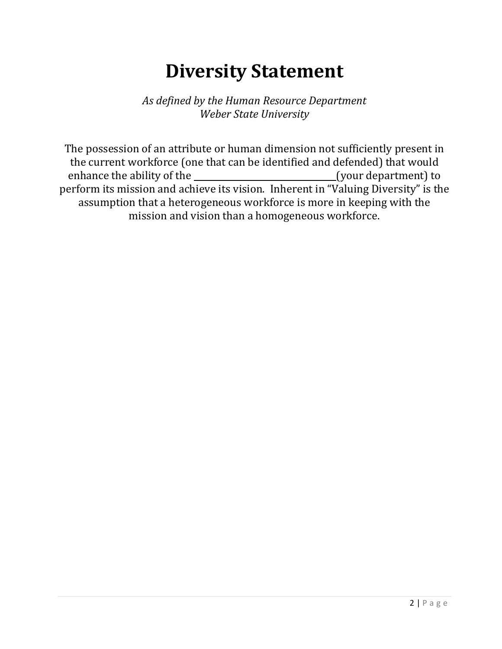# **Diversity Statement**

*As defined by the Human Resource Department Weber State University*

<span id="page-2-0"></span>The possession of an attribute or human dimension not sufficiently present in the current workforce (one that can be identified and defended) that would enhance the ability of the (your department) to depend on the end of the  $\alpha$ perform its mission and achieve its vision. Inherent in "Valuing Diversity" is the assumption that a heterogeneous workforce is more in keeping with the mission and vision than a homogeneous workforce.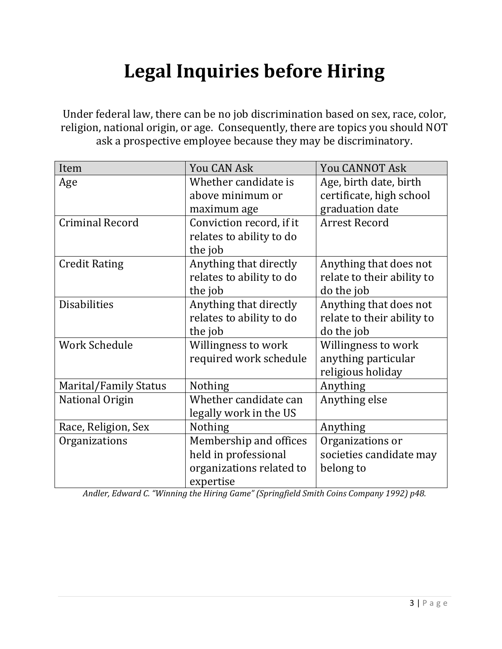# **Legal Inquiries before Hiring**

<span id="page-3-0"></span>Under federal law, there can be no job discrimination based on sex, race, color, religion, national origin, or age. Consequently, there are topics you should NOT ask a prospective employee because they may be discriminatory.

| Item                   | You CAN Ask              | <b>You CANNOT Ask</b>      |
|------------------------|--------------------------|----------------------------|
| Age                    | Whether candidate is     | Age, birth date, birth     |
|                        | above minimum or         | certificate, high school   |
|                        | maximum age              | graduation date            |
| <b>Criminal Record</b> | Conviction record, if it | <b>Arrest Record</b>       |
|                        | relates to ability to do |                            |
|                        | the job                  |                            |
| <b>Credit Rating</b>   | Anything that directly   | Anything that does not     |
|                        | relates to ability to do | relate to their ability to |
|                        | the job                  | do the job                 |
| <b>Disabilities</b>    | Anything that directly   | Anything that does not     |
|                        | relates to ability to do | relate to their ability to |
|                        | the job                  | do the job                 |
| <b>Work Schedule</b>   | Willingness to work      | Willingness to work        |
|                        | required work schedule   | anything particular        |
|                        |                          | religious holiday          |
| Marital/Family Status  | <b>Nothing</b>           | Anything                   |
| National Origin        | Whether candidate can    | Anything else              |
|                        | legally work in the US   |                            |
| Race, Religion, Sex    | <b>Nothing</b>           | Anything                   |
| Organizations          | Membership and offices   | Organizations or           |
|                        | held in professional     | societies candidate may    |
|                        | organizations related to | belong to                  |
|                        | expertise                |                            |

*Andler, Edward C. "Winning the Hiring Game" (Springfield Smith Coins Company 1992) p48.*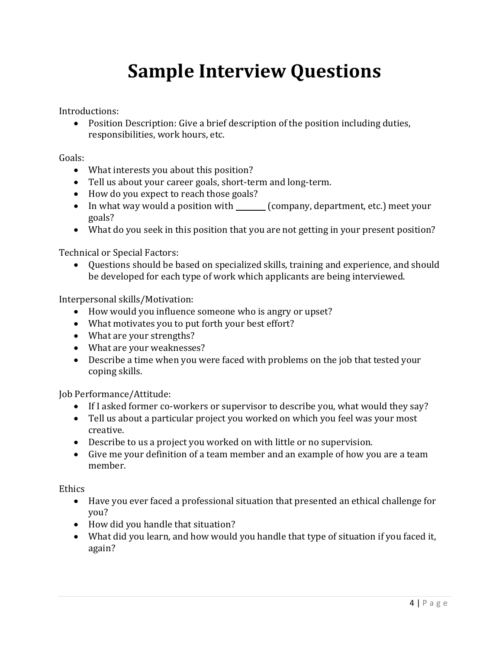# **Sample Interview Questions**

<span id="page-4-0"></span>Introductions:

• Position Description: Give a brief description of the position including duties, responsibilities, work hours, etc.

Goals:

- What interests you about this position?
- Tell us about your career goals, short-term and long-term.
- How do you expect to reach those goals?
- In what way would a position with \_\_\_\_\_\_\_ (company, department, etc.) meet your goals?
- What do you seek in this position that you are not getting in your present position?

Technical or Special Factors:

• Questions should be based on specialized skills, training and experience, and should be developed for each type of work which applicants are being interviewed.

Interpersonal skills/Motivation:

- How would you influence someone who is angry or upset?
- What motivates you to put forth your best effort?
- What are your strengths?
- What are your weaknesses?
- Describe a time when you were faced with problems on the job that tested your coping skills.

Job Performance/Attitude:

- If I asked former co-workers or supervisor to describe you, what would they say?
- Tell us about a particular project you worked on which you feel was your most creative.
- Describe to us a project you worked on with little or no supervision.
- Give me your definition of a team member and an example of how you are a team member.

**Ethics** 

- Have you ever faced a professional situation that presented an ethical challenge for you?
- How did you handle that situation?
- What did you learn, and how would you handle that type of situation if you faced it, again?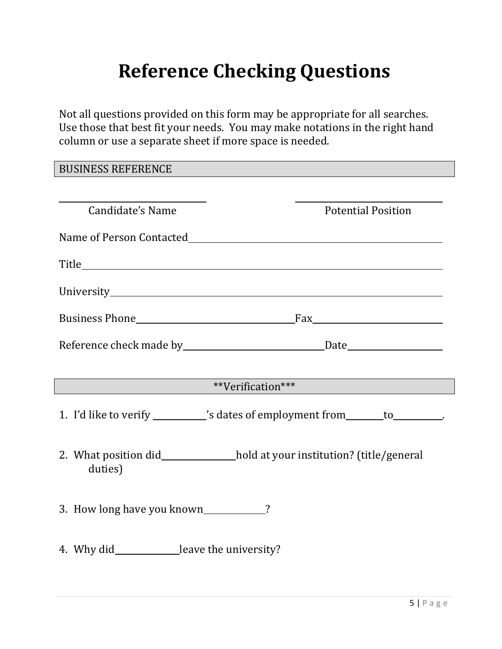# **Reference Checking Questions**

<span id="page-5-0"></span>Not all questions provided on this form may be appropriate for all searches. Use those that best fit your needs. You may make notations in the right hand column or use a separate sheet if more space is needed.

BUSINESS REFERENCE

| Candidate's Name                             | <b>Potential Position</b>                                                                                                                                                                                                                |
|----------------------------------------------|------------------------------------------------------------------------------------------------------------------------------------------------------------------------------------------------------------------------------------------|
|                                              |                                                                                                                                                                                                                                          |
|                                              |                                                                                                                                                                                                                                          |
|                                              |                                                                                                                                                                                                                                          |
|                                              |                                                                                                                                                                                                                                          |
|                                              |                                                                                                                                                                                                                                          |
|                                              |                                                                                                                                                                                                                                          |
|                                              | **Verification***                                                                                                                                                                                                                        |
|                                              | 1. I'd like to verify ___________'s dates of employment from _______ to ________.                                                                                                                                                        |
| duties)                                      | 2. What position did <b>solution</b> 2. What position did <b>solution</b> 2. What position did solution 2. What position did solution and position and position and position and position and position and position and position and pos |
| 3. How long have you known____________?      |                                                                                                                                                                                                                                          |
| 4. Why did_____________leave the university? |                                                                                                                                                                                                                                          |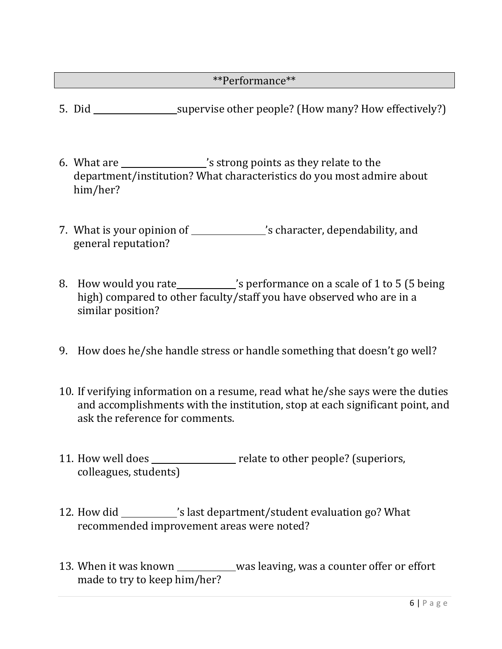### \*\*Performance\*\*

- 5. Did \_\_\_\_\_\_\_\_\_\_\_\_\_\_\_\_\_\_\_\_\_supervise other people? (How many? How effectively?)
- 6. What are \_\_\_\_\_\_\_\_\_\_\_\_\_\_\_\_'s strong points as they relate to the department/institution? What characteristics do you most admire about him/her?
- 7. What is your opinion of 's character, dependability, and general reputation?
- 8. How would you rate\_\_\_\_\_\_\_\_\_\_'s performance on a scale of 1 to 5 (5 being high) compared to other faculty/staff you have observed who are in a similar position?
- 9. How does he/she handle stress or handle something that doesn't go well?
- 10. If verifying information on a resume, read what he/she says were the duties and accomplishments with the institution, stop at each significant point, and ask the reference for comments.
- 11. How well does \_\_\_\_\_\_\_\_\_\_\_\_\_\_\_ relate to other people? (superiors, colleagues, students)
- 12. How did \_\_\_\_\_\_\_\_\_\_\_'s last department/student evaluation go? What recommended improvement areas were noted?
- 13. When it was known \_\_\_\_\_\_\_\_\_\_\_was leaving, was a counter offer or effort made to try to keep him/her?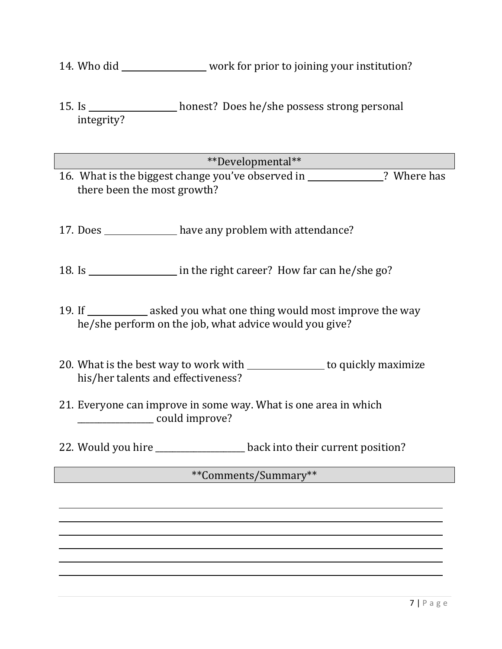- 14. Who did \_\_\_\_\_\_\_\_\_\_\_\_\_\_\_\_ work for prior to joining your institution?
- 15. Is \_\_\_\_\_\_\_\_\_\_\_\_\_\_\_\_ honest? Does he/she possess strong personal integrity?
- \*\*Developmental\*\* 16. What is the biggest change you've observed in \_\_\_\_\_\_\_\_\_\_\_\_? Where has there been the most growth?
- 17. Does have any problem with attendance?
- 18. Is <u>in the right career?</u> How far can he/she go?
- 19. If \_\_\_\_\_\_\_\_\_\_\_\_ asked you what one thing would most improve the way he/she perform on the job, what advice would you give?
- 20. What is the best way to work with \_\_\_\_\_\_\_\_\_\_\_\_\_\_\_ to quickly maximize his/her talents and effectiveness?
- 21. Everyone can improve in some way. What is one area in which \_\_\_\_\_\_\_\_\_\_\_\_\_\_\_\_\_\_ could improve?
- 22. Would you hire \_\_\_\_\_\_\_\_\_\_\_\_\_\_\_\_\_\_\_ back into their current position?

### \*\*Comments/Summary\*\*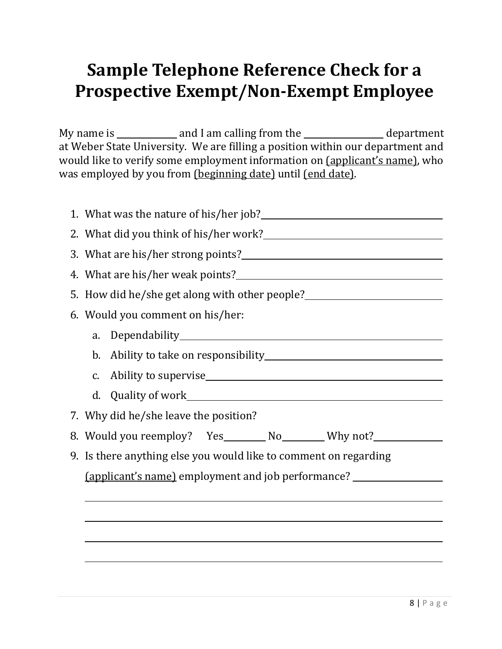## <span id="page-8-0"></span>**Sample Telephone Reference Check for a Prospective Exempt/Non-Exempt Employee**

My name is  $\frac{1}{\sqrt{1-\frac{1}{\sqrt{1-\frac{1}{\sqrt{1-\frac{1}{\sqrt{1-\frac{1}{\sqrt{1-\frac{1}{\sqrt{1-\frac{1}{\sqrt{1-\frac{1}{\sqrt{1-\frac{1}{\sqrt{1-\frac{1}{\sqrt{1-\frac{1}{\sqrt{1-\frac{1}{\sqrt{1-\frac{1}{\sqrt{1-\frac{1}{\sqrt{1-\frac{1}{\sqrt{1-\frac{1}{\sqrt{1-\frac{1}{\sqrt{1-\frac{1}{\sqrt{1-\frac{1}{\sqrt{1-\frac{1}{\sqrt{1-\frac{1}{\sqrt{1-\frac{1}{\sqrt{1-\frac{1}{\sqrt{1-\frac$ at Weber State University. We are filling a position within our department and would like to verify some employment information on (applicant's name), who was employed by you from (beginning date) until (end date).

| 5. How did he/she get along with other people?                                   |  |  |  |  |  |
|----------------------------------------------------------------------------------|--|--|--|--|--|
| 6. Would you comment on his/her:                                                 |  |  |  |  |  |
| a.                                                                               |  |  |  |  |  |
|                                                                                  |  |  |  |  |  |
| C.                                                                               |  |  |  |  |  |
| d.                                                                               |  |  |  |  |  |
| 7. Why did he/she leave the position?                                            |  |  |  |  |  |
| 8. Would you reemploy? Yes________ No________ Why not?__________________________ |  |  |  |  |  |
| 9. Is there anything else you would like to comment on regarding                 |  |  |  |  |  |
| (applicant's name) employment and job performance?                               |  |  |  |  |  |
|                                                                                  |  |  |  |  |  |
|                                                                                  |  |  |  |  |  |
|                                                                                  |  |  |  |  |  |
|                                                                                  |  |  |  |  |  |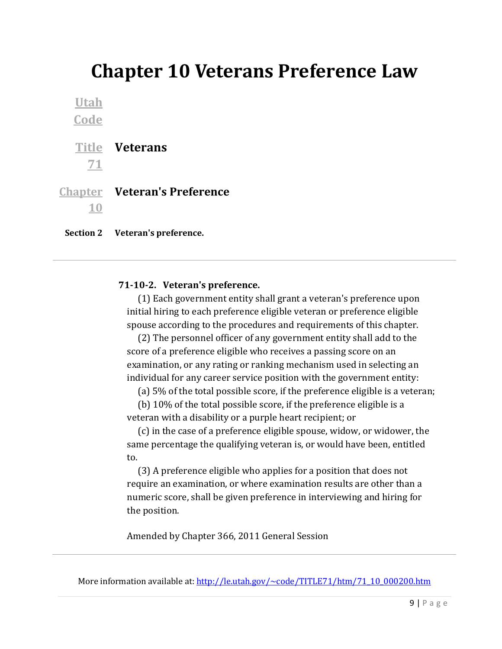## <span id="page-9-0"></span>**Chapter 10 Veterans Preference Law**

**[Utah](http://www.le.utah.gov/UtahCode/title.jsp)  [Code](http://www.le.utah.gov/UtahCode/title.jsp) [Title](http://www.le.utah.gov/UtahCode/chapter.jsp?code=71)  Veterans [71](http://www.le.utah.gov/UtahCode/chapter.jsp?code=71) [Chapter](http://www.le.utah.gov/UtahCode/section.jsp?code=71-10)  Veteran's Preference [10](http://www.le.utah.gov/UtahCode/section.jsp?code=71-10)**

**Section 2 Veteran's preference.**

### **71-10-2. Veteran's preference.**

 (1) Each government entity shall grant a veteran's preference upon initial hiring to each preference eligible veteran or preference eligible spouse according to the procedures and requirements of this chapter.

 (2) The personnel officer of any government entity shall add to the score of a preference eligible who receives a passing score on an examination, or any rating or ranking mechanism used in selecting an individual for any career service position with the government entity:

(a) 5% of the total possible score, if the preference eligible is a veteran;

 (b) 10% of the total possible score, if the preference eligible is a veteran with a disability or a purple heart recipient; or

 (c) in the case of a preference eligible spouse, widow, or widower, the same percentage the qualifying veteran is, or would have been, entitled to.

 (3) A preference eligible who applies for a position that does not require an examination, or where examination results are other than a numeric score, shall be given preference in interviewing and hiring for the position.

Amended by Chapter 366, 2011 General Session

More information available at: [http://le.utah.gov/~code/TITLE71/htm/71\\_10\\_000200.htm](http://le.utah.gov/%7Ecode/TITLE71/htm/71_10_000200.htm)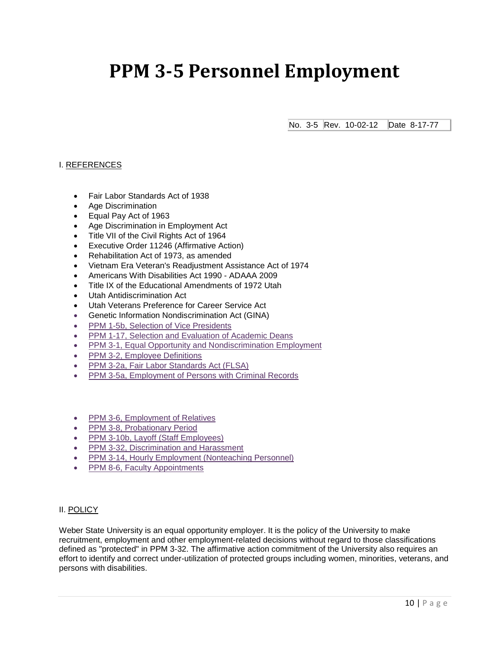## <span id="page-10-0"></span>**PPM 3-5 Personnel Employment**

No. 3-5 Rev. 10-02-12 Date 8-17-77

### I. REFERENCES

- Fair Labor Standards Act of 1938
- Age Discrimination
- Equal Pay Act of 1963
- Age Discrimination in Employment Act
- Title VII of the Civil Rights Act of 1964
- Executive Order 11246 (Affirmative Action)
- Rehabilitation Act of 1973, as amended
- Vietnam Era Veteran's Readjustment Assistance Act of 1974
- Americans With Disabilities Act 1990 ADAAA 2009
- Title IX of the Educational Amendments of 1972 Utah
- Utah Antidiscrimination Act
- Utah Veterans Preference for Career Service Act
- Genetic Information Nondiscrimination Act (GINA)
- [PPM 1-5b, Selection of Vice Presidents](http://www.weber.edu/ppm/Policies/%20http:/www.weber.edu/ppm/Policies/1-5b_SelectVP.html)
- PPM 1-17, Selection and Evaluation of Academic Deans
- PPM 3-1, Equal Opportunity and Nondiscrimination Employment
- PPM 3-2, Employee Definitions
- [PPM 3-2a, Fair Labor Standards Act \(FLSA\)](http://www.weber.edu/ppm/Policies/%20http:/www.weber.edu/ppm/Policies/3-2a_Fair_Labor_Standards_Act_(FLSA).html)
- [PPM 3-5a, Employment of Persons with Criminal Records](http://www.weber.edu/ppm/Policies/%20http:/www.weber.edu/ppm/Policies/3-5a_EmploymentCriminalRec.html)
- [PPM 3-6, Employment of Relatives](http://www.weber.edu/ppm/Policies/%20http:/www.weber.edu/ppm/Policies/3-6_EmploymentRelatives.html)
- PPM 3-8, Probationary Period
- PPM 3-10b, Layoff (Staff Employees)
- [PPM 3-32, Discrimination and Harassment](http://www.weber.edu/ppm/Policies/%20http:/www.weber.edu/ppm/Policies/3-32_DiscriminationHarassment.html)
- **PPM 3-14, Hourly Employment (Nonteaching Personnel)**
- PPM 8-6, Faculty Appointments

#### II. POLICY

Weber State University is an equal opportunity employer. It is the policy of the University to make recruitment, employment and other employment-related decisions without regard to those classifications defined as "protected" in PPM 3-32. The affirmative action commitment of the University also requires an effort to identify and correct under-utilization of protected groups including women, minorities, veterans, and persons with disabilities.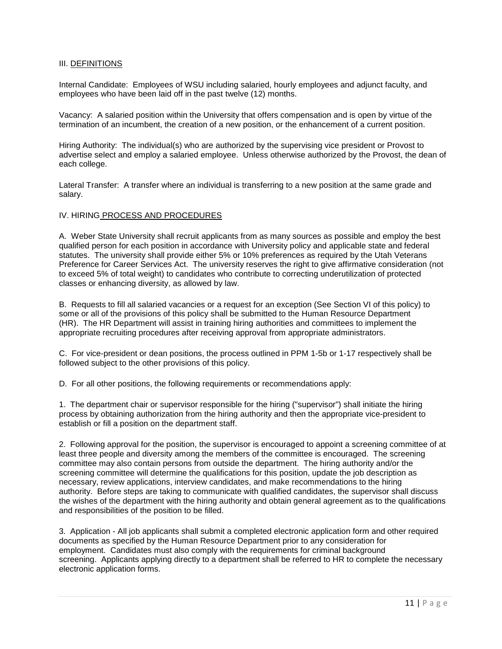#### III. DEFINITIONS

Internal Candidate: Employees of WSU including salaried, hourly employees and adjunct faculty, and employees who have been laid off in the past twelve (12) months.

Vacancy: A salaried position within the University that offers compensation and is open by virtue of the termination of an incumbent, the creation of a new position, or the enhancement of a current position.

Hiring Authority: The individual(s) who are authorized by the supervising vice president or Provost to advertise select and employ a salaried employee. Unless otherwise authorized by the Provost, the dean of each college.

Lateral Transfer: A transfer where an individual is transferring to a new position at the same grade and salary.

#### IV. HIRING PROCESS AND PROCEDURES

A. Weber State University shall recruit applicants from as many sources as possible and employ the best qualified person for each position in accordance with University policy and applicable state and federal statutes. The university shall provide either 5% or 10% preferences as required by the Utah Veterans Preference for Career Services Act. The university reserves the right to give affirmative consideration (not to exceed 5% of total weight) to candidates who contribute to correcting underutilization of protected classes or enhancing diversity, as allowed by law.

B. Requests to fill all salaried vacancies or a request for an exception (See Section VI of this policy) to some or all of the provisions of this policy shall be submitted to the Human Resource Department (HR). The HR Department will assist in training hiring authorities and committees to implement the appropriate recruiting procedures after receiving approval from appropriate administrators.

C. For vice-president or dean positions, the process outlined in PPM 1-5b or 1-17 respectively shall be followed subject to the other provisions of this policy.

D. For all other positions, the following requirements or recommendations apply:

1. The department chair or supervisor responsible for the hiring ("supervisor") shall initiate the hiring process by obtaining authorization from the hiring authority and then the appropriate vice-president to establish or fill a position on the department staff.

2. Following approval for the position, the supervisor is encouraged to appoint a screening committee of at least three people and diversity among the members of the committee is encouraged. The screening committee may also contain persons from outside the department. The hiring authority and/or the screening committee will determine the qualifications for this position, update the job description as necessary, review applications, interview candidates, and make recommendations to the hiring authority. Before steps are taking to communicate with qualified candidates, the supervisor shall discuss the wishes of the department with the hiring authority and obtain general agreement as to the qualifications and responsibilities of the position to be filled.

3. Application - All job applicants shall submit a completed electronic application form and other required documents as specified by the Human Resource Department prior to any consideration for employment. Candidates must also comply with the requirements for criminal background screening. Applicants applying directly to a department shall be referred to HR to complete the necessary electronic application forms.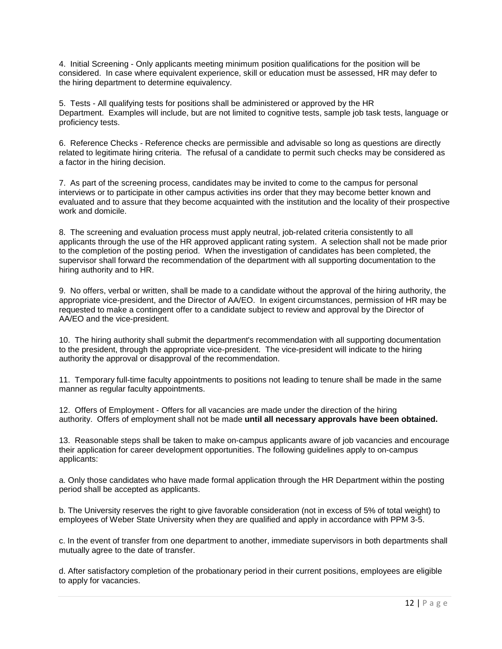4. Initial Screening - Only applicants meeting minimum position qualifications for the position will be considered. In case where equivalent experience, skill or education must be assessed, HR may defer to the hiring department to determine equivalency.

5. Tests - All qualifying tests for positions shall be administered or approved by the HR Department. Examples will include, but are not limited to cognitive tests, sample job task tests, language or proficiency tests.

6. Reference Checks - Reference checks are permissible and advisable so long as questions are directly related to legitimate hiring criteria. The refusal of a candidate to permit such checks may be considered as a factor in the hiring decision.

7. As part of the screening process, candidates may be invited to come to the campus for personal interviews or to participate in other campus activities ins order that they may become better known and evaluated and to assure that they become acquainted with the institution and the locality of their prospective work and domicile.

8. The screening and evaluation process must apply neutral, job-related criteria consistently to all applicants through the use of the HR approved applicant rating system. A selection shall not be made prior to the completion of the posting period. When the investigation of candidates has been completed, the supervisor shall forward the recommendation of the department with all supporting documentation to the hiring authority and to HR.

9. No offers, verbal or written, shall be made to a candidate without the approval of the hiring authority, the appropriate vice-president, and the Director of AA/EO. In exigent circumstances, permission of HR may be requested to make a contingent offer to a candidate subject to review and approval by the Director of AA/EO and the vice-president.

10. The hiring authority shall submit the department's recommendation with all supporting documentation to the president, through the appropriate vice-president. The vice-president will indicate to the hiring authority the approval or disapproval of the recommendation.

11. Temporary full-time faculty appointments to positions not leading to tenure shall be made in the same manner as regular faculty appointments.

12. Offers of Employment - Offers for all vacancies are made under the direction of the hiring authority. Offers of employment shall not be made **until all necessary approvals have been obtained.**

13. Reasonable steps shall be taken to make on-campus applicants aware of job vacancies and encourage their application for career development opportunities. The following guidelines apply to on-campus applicants:

a. Only those candidates who have made formal application through the HR Department within the posting period shall be accepted as applicants.

b. The University reserves the right to give favorable consideration (not in excess of 5% of total weight) to employees of Weber State University when they are qualified and apply in accordance with PPM 3-5.

c. In the event of transfer from one department to another, immediate supervisors in both departments shall mutually agree to the date of transfer.

d. After satisfactory completion of the probationary period in their current positions, employees are eligible to apply for vacancies.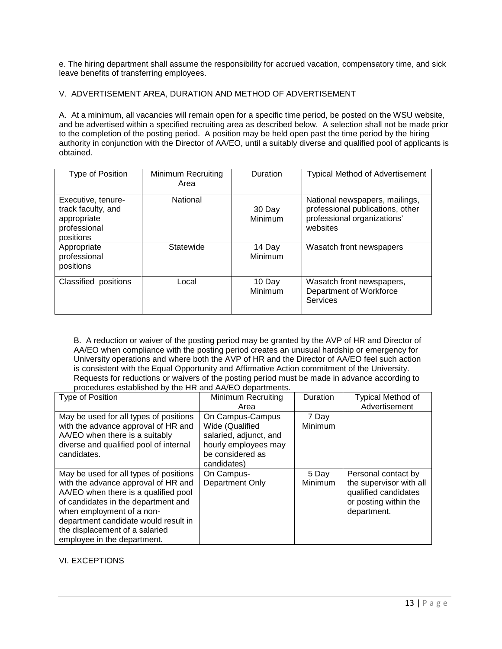e. The hiring department shall assume the responsibility for accrued vacation, compensatory time, and sick leave benefits of transferring employees.

#### V. ADVERTISEMENT AREA, DURATION AND METHOD OF ADVERTISEMENT

A. At a minimum, all vacancies will remain open for a specific time period, be posted on the WSU website, and be advertised within a specified recruiting area as described below. A selection shall not be made prior to the completion of the posting period. A position may be held open past the time period by the hiring authority in conjunction with the Director of AA/EO, until a suitably diverse and qualified pool of applicants is obtained.

| Type of Position                                                                     | Minimum Recruiting<br>Area | Duration          | <b>Typical Method of Advertisement</b>                                                                        |
|--------------------------------------------------------------------------------------|----------------------------|-------------------|---------------------------------------------------------------------------------------------------------------|
| Executive, tenure-<br>track faculty, and<br>appropriate<br>professional<br>positions | National                   | 30 Day<br>Minimum | National newspapers, mailings,<br>professional publications, other<br>professional organizations'<br>websites |
| Appropriate<br>professional<br>positions                                             | Statewide                  | 14 Day<br>Minimum | Wasatch front newspapers                                                                                      |
| Classified positions                                                                 | Local                      | 10 Day<br>Minimum | Wasatch front newspapers,<br>Department of Workforce<br>Services                                              |

B. A reduction or waiver of the posting period may be granted by the AVP of HR and Director of AA/EO when compliance with the posting period creates an unusual hardship or emergency for University operations and where both the AVP of HR and the Director of AA/EO feel such action is consistent with the Equal Opportunity and Affirmative Action commitment of the University. Requests for reductions or waivers of the posting period must be made in advance according to procedures established by the HR and AA/EO departments.

| Type of Position                                                                                                                                                                                                                                                                                   | Minimum Recruiting                                                                                                       | Duration                | Typical Method of                                                                                              |
|----------------------------------------------------------------------------------------------------------------------------------------------------------------------------------------------------------------------------------------------------------------------------------------------------|--------------------------------------------------------------------------------------------------------------------------|-------------------------|----------------------------------------------------------------------------------------------------------------|
|                                                                                                                                                                                                                                                                                                    | Area                                                                                                                     |                         | Advertisement                                                                                                  |
| May be used for all types of positions<br>with the advance approval of HR and<br>AA/EO when there is a suitably<br>diverse and qualified pool of internal<br>candidates.                                                                                                                           | On Campus-Campus<br>Wide (Qualified<br>salaried, adjunct, and<br>hourly employees may<br>be considered as<br>candidates) | 7 Day<br>Minimum        |                                                                                                                |
| May be used for all types of positions<br>with the advance approval of HR and<br>AA/EO when there is a qualified pool<br>of candidates in the department and<br>when employment of a non-<br>department candidate would result in<br>the displacement of a salaried<br>employee in the department. | On Campus-<br>Department Only                                                                                            | 5 Day<br><b>Minimum</b> | Personal contact by<br>the supervisor with all<br>qualified candidates<br>or posting within the<br>department. |

### VI. EXCEPTIONS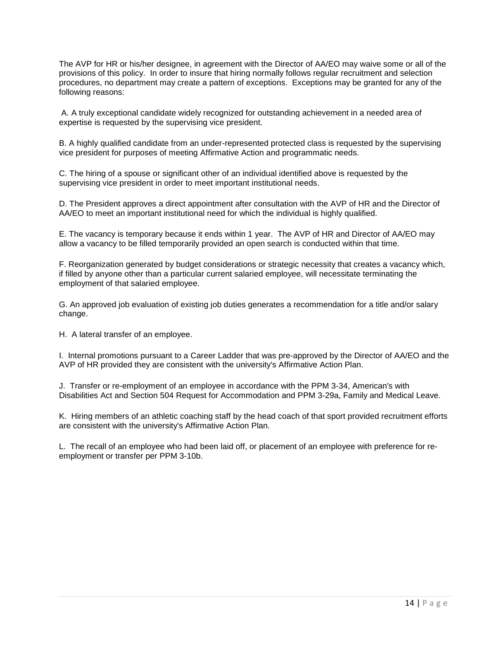The AVP for HR or his/her designee, in agreement with the Director of AA/EO may waive some or all of the provisions of this policy. In order to insure that hiring normally follows regular recruitment and selection procedures, no department may create a pattern of exceptions. Exceptions may be granted for any of the following reasons:

A. A truly exceptional candidate widely recognized for outstanding achievement in a needed area of expertise is requested by the supervising vice president.

B. A highly qualified candidate from an under-represented protected class is requested by the supervising vice president for purposes of meeting Affirmative Action and programmatic needs.

C. The hiring of a spouse or significant other of an individual identified above is requested by the supervising vice president in order to meet important institutional needs.

D. The President approves a direct appointment after consultation with the AVP of HR and the Director of AA/EO to meet an important institutional need for which the individual is highly qualified.

E. The vacancy is temporary because it ends within 1 year. The AVP of HR and Director of AA/EO may allow a vacancy to be filled temporarily provided an open search is conducted within that time.

F. Reorganization generated by budget considerations or strategic necessity that creates a vacancy which, if filled by anyone other than a particular current salaried employee, will necessitate terminating the employment of that salaried employee.

G. An approved job evaluation of existing job duties generates a recommendation for a title and/or salary change.

H. A lateral transfer of an employee.

I. Internal promotions pursuant to a Career Ladder that was pre-approved by the Director of AA/EO and the AVP of HR provided they are consistent with the university's Affirmative Action Plan.

J. Transfer or re-employment of an employee in accordance with the PPM 3-34, American's with Disabilities Act and Section 504 Request for Accommodation and PPM 3-29a, Family and Medical Leave.

K. Hiring members of an athletic coaching staff by the head coach of that sport provided recruitment efforts are consistent with the university's Affirmative Action Plan.

L. The recall of an employee who had been laid off, or placement of an employee with preference for reemployment or transfer per PPM 3-10b.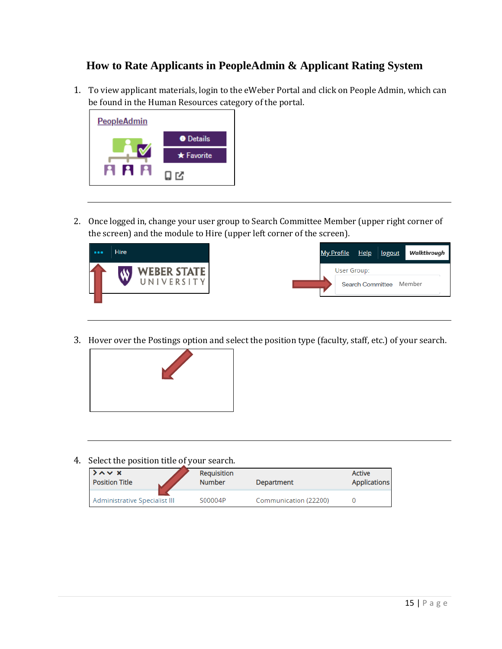### <span id="page-15-0"></span>**How to Rate Applicants in PeopleAdmin & Applicant Rating System**

1. To view applicant materials, login to the eWeber Portal and click on People Admin, which can be found in the Human Resources category of the portal.



2. Once logged in, change your user group to Search Committee Member (upper right corner of the screen) and the module to Hire (upper left corner of the screen).



3. Hover over the Postings option and select the position type (faculty, staff, etc.) of your search.



4. Select the position title of your search.

| $\lambda \sim x$              | Requisition   | Department            | <b>Active</b>       |
|-------------------------------|---------------|-----------------------|---------------------|
| <b>Position Title</b>         | <b>Number</b> |                       | <b>Applications</b> |
| Administrative Specialist III | S00004P       | Communication (22200) |                     |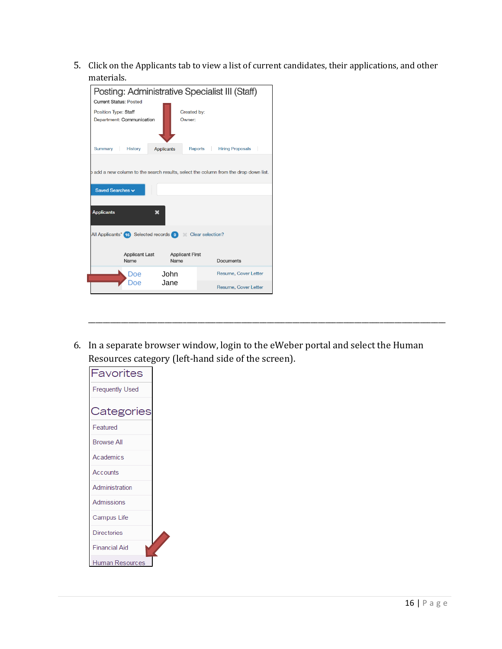5. Click on the Applicants tab to view a list of current candidates, their applications, and other materials.

| Posting: Administrative Specialist III (Staff)                                       |                                |             |                             |  |
|--------------------------------------------------------------------------------------|--------------------------------|-------------|-----------------------------|--|
| <b>Current Status: Posted</b>                                                        |                                |             |                             |  |
|                                                                                      |                                |             |                             |  |
| <b>Position Type: Staff</b>                                                          |                                | Created by: |                             |  |
| Department: Communication                                                            |                                | Owner:      |                             |  |
| Summary<br><b>History</b>                                                            | <b>Applicants</b>              | Reports     | <b>Hiring Proposals</b>     |  |
| b add a new column to the search results, select the column from the drop down list. |                                |             |                             |  |
| Saved Searches v                                                                     |                                |             |                             |  |
|                                                                                      |                                |             |                             |  |
| <b>Applicants</b>                                                                    | ×                              |             |                             |  |
| All Applicants" (16) Selected records 0 Clear selection?                             |                                |             |                             |  |
| <b>Applicant Last</b><br>Name                                                        | <b>Applicant First</b><br>Name |             | Documents                   |  |
| Doe                                                                                  | John.                          |             | Resume, Cover Letter        |  |
| Doe                                                                                  | Jane.                          |             | <b>Resume, Cover Letter</b> |  |

6. In a separate browser window, login to the eWeber portal and select the Human Resources category (left-hand side of the screen).

\_\_\_\_\_\_\_\_\_\_\_\_\_\_\_\_\_\_\_\_\_\_\_\_\_\_\_\_\_\_\_\_\_\_\_\_\_\_\_\_\_\_\_\_\_\_\_\_\_\_\_\_\_\_\_\_\_\_\_\_\_\_\_\_\_\_\_\_\_\_\_\_\_\_\_\_\_\_\_\_\_\_\_\_\_\_\_\_\_\_\_\_\_\_\_\_\_\_

| Favorites              |  |
|------------------------|--|
| <b>Frequently Used</b> |  |
| Categories             |  |
| Featured               |  |
| <b>Browse All</b>      |  |
| Academics              |  |
| Accounts               |  |
| Administration         |  |
| <b>Admissions</b>      |  |
| Campus Life            |  |
| <b>Directories</b>     |  |
| <b>Financial Aid</b>   |  |
| Human Resources        |  |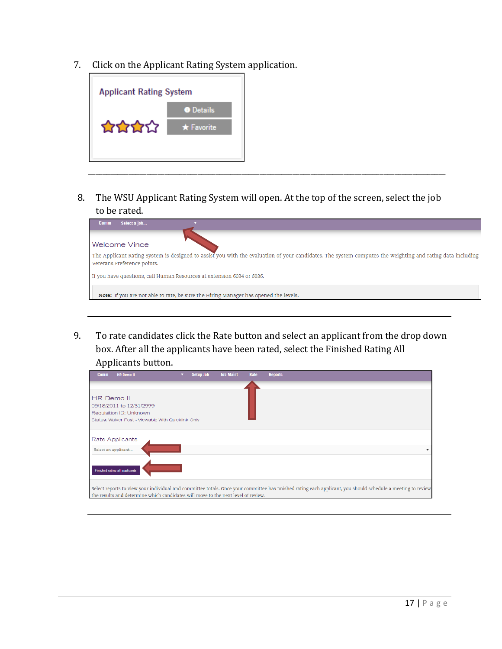7. Click on the Applicant Rating System application.



8. The WSU Applicant Rating System will open. At the top of the screen, select the job to be rated.

\_\_\_\_\_\_\_\_\_\_\_\_\_\_\_\_\_\_\_\_\_\_\_\_\_\_\_\_\_\_\_\_\_\_\_\_\_\_\_\_\_\_\_\_\_\_\_\_\_\_\_\_\_\_\_\_\_\_\_\_\_\_\_\_\_\_\_\_\_\_\_\_\_\_\_\_\_\_\_\_\_\_\_\_\_\_\_\_\_\_\_\_\_\_\_\_\_\_

| Select a job<br><b>Comm</b>                                                                                                                                                              |
|------------------------------------------------------------------------------------------------------------------------------------------------------------------------------------------|
| Welcome Vince                                                                                                                                                                            |
| The Applicant Rating System is designed to assist you with the evaluation of your candidates. The system computes the weighting and rating data including<br>Veterans Preference points. |
| If you have questions, call Human Resources at extension 6034 or 6036.                                                                                                                   |
| Note: If you are not able to rate, be sure the Hiring Manager has opened the levels.                                                                                                     |

9. To rate candidates click the Rate button and select an applicant from the drop down box. After all the applicants have been rated, select the Finished Rating All Applicants button.

| <b>Comm</b>       | <b>HR Demo II</b>                                                                 | ▼. | Setup Job | <b>Job Maint</b> | Rate | <b>Reports</b>                                                                                                                                               |
|-------------------|-----------------------------------------------------------------------------------|----|-----------|------------------|------|--------------------------------------------------------------------------------------------------------------------------------------------------------------|
| <b>HR Demo II</b> | 09/18/2011 to 12/31/2999<br>Requisition ID: Unknown                               |    |           |                  |      |                                                                                                                                                              |
|                   | Status: Waiver Post - Viewable With Quicklink Only                                |    |           |                  |      |                                                                                                                                                              |
|                   | <b>Rate Applicants</b>                                                            |    |           |                  |      |                                                                                                                                                              |
|                   | Select an applicant                                                               |    |           |                  |      |                                                                                                                                                              |
|                   | Finished rating all applicants                                                    |    |           |                  |      |                                                                                                                                                              |
|                   | the results and determine which candidates will move to the next level of review. |    |           |                  |      | Select reports to view your individual and committee totals. Once your committee has finished rating each applicant, you should schedule a meeting to review |